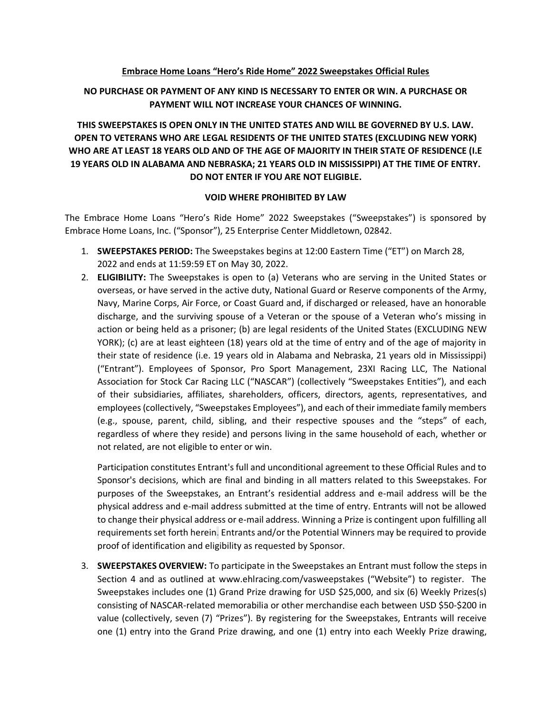#### **Embrace Home Loans "Hero's Ride Home" 2022 Sweepstakes Official Rules**

## **NO PURCHASE OR PAYMENT OF ANY KIND IS NECESSARY TO ENTER OR WIN. A PURCHASE OR PAYMENT WILL NOT INCREASE YOUR CHANCES OF WINNING.**

# **THIS SWEEPSTAKES IS OPEN ONLY IN THE UNITED STATES AND WILL BE GOVERNED BY U.S. LAW. OPEN TO VETERANS WHO ARE LEGAL RESIDENTS OF THE UNITED STATES (EXCLUDING NEW YORK) WHO ARE AT LEAST 18 YEARS OLD AND OF THE AGE OF MAJORITY IN THEIR STATE OF RESIDENCE (I.E 19 YEARS OLD IN ALABAMA AND NEBRASKA; 21 YEARS OLD IN MISSISSIPPI) AT THE TIME OF ENTRY. DO NOT ENTER IF YOU ARE NOT ELIGIBLE.**

#### **VOID WHERE PROHIBITED BY LAW**

The Embrace Home Loans "Hero's Ride Home" 2022 Sweepstakes ("Sweepstakes") is sponsored by Embrace Home Loans, Inc. ("Sponsor"), 25 Enterprise Center Middletown, 02842.

- 1. **SWEEPSTAKES PERIOD:** The Sweepstakes begins at 12:00 Eastern Time ("ET") on March 28, 2022 and ends at 11:59:59 ET on May 30, 2022.
- 2. **ELIGIBILITY:** The Sweepstakes is open to (a) Veterans who are serving in the United States or overseas, or have served in the active duty, National Guard or Reserve components of the Army, Navy, Marine Corps, Air Force, or Coast Guard and, if discharged or released, have an honorable discharge, and the surviving spouse of a Veteran or the spouse of a Veteran who's missing in action or being held as a prisoner; (b) are legal residents of the United States (EXCLUDING NEW YORK); (c) are at least eighteen (18) years old at the time of entry and of the age of majority in their state of residence (i.e. 19 years old in Alabama and Nebraska, 21 years old in Mississippi) ("Entrant"). Employees of Sponsor, Pro Sport Management, 23XI Racing LLC, The National Association for Stock Car Racing LLC ("NASCAR") (collectively "Sweepstakes Entities"), and each of their subsidiaries, affiliates, shareholders, officers, directors, agents, representatives, and employees (collectively, "Sweepstakes Employees"), and each of their immediate family members (e.g., spouse, parent, child, sibling, and their respective spouses and the "steps" of each, regardless of where they reside) and persons living in the same household of each, whether or not related, are not eligible to enter or win.

Participation constitutes Entrant's full and unconditional agreement to these Official Rules and to Sponsor's decisions, which are final and binding in all matters related to this Sweepstakes. For purposes of the Sweepstakes, an Entrant's residential address and e-mail address will be the physical address and e-mail address submitted at the time of entry. Entrants will not be allowed to change their physical address or e-mail address. Winning a Prize is contingent upon fulfilling all requirements set forth herein. Entrants and/or the Potential Winners may be required to provide proof of identification and eligibility as requested by Sponsor.

3. **SWEEPSTAKES OVERVIEW:** To participate in the Sweepstakes an Entrant must follow the steps in Section 4 and as outlined at www.ehlracing.com/vasweepstakes ("Website") to register. The Sweepstakes includes one (1) Grand Prize drawing for USD \$25,000, and six (6) Weekly Prizes(s) consisting of NASCAR-related memorabilia or other merchandise each between USD \$50-\$200 in value (collectively, seven (7) "Prizes"). By registering for the Sweepstakes, Entrants will receive one (1) entry into the Grand Prize drawing, and one (1) entry into each Weekly Prize drawing,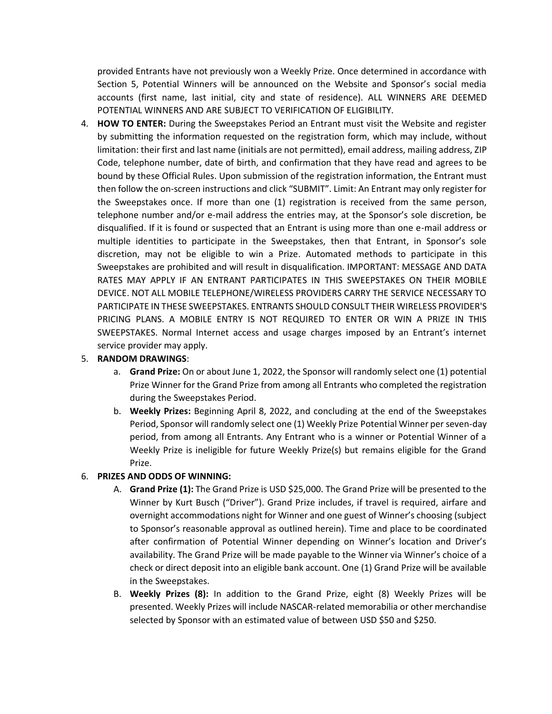provided Entrants have not previously won a Weekly Prize. Once determined in accordance with Section 5, Potential Winners will be announced on the Website and Sponsor's social media accounts (first name, last initial, city and state of residence). ALL WINNERS ARE DEEMED POTENTIAL WINNERS AND ARE SUBJECT TO VERIFICATION OF ELIGIBILITY.

4. **HOW TO ENTER:** During the Sweepstakes Period an Entrant must visit the Website and register by submitting the information requested on the registration form, which may include, without limitation: their first and last name (initials are not permitted), email address, mailing address, ZIP Code, telephone number, date of birth, and confirmation that they have read and agrees to be bound by these Official Rules. Upon submission of the registration information, the Entrant must then follow the on-screen instructions and click "SUBMIT". Limit: An Entrant may only register for the Sweepstakes once. If more than one (1) registration is received from the same person, telephone number and/or e-mail address the entries may, at the Sponsor's sole discretion, be disqualified. If it is found or suspected that an Entrant is using more than one e-mail address or multiple identities to participate in the Sweepstakes, then that Entrant, in Sponsor's sole discretion, may not be eligible to win a Prize. Automated methods to participate in this Sweepstakes are prohibited and will result in disqualification. IMPORTANT: MESSAGE AND DATA RATES MAY APPLY IF AN ENTRANT PARTICIPATES IN THIS SWEEPSTAKES ON THEIR MOBILE DEVICE. NOT ALL MOBILE TELEPHONE/WIRELESS PROVIDERS CARRY THE SERVICE NECESSARY TO PARTICIPATE IN THESE SWEEPSTAKES. ENTRANTS SHOULD CONSULT THEIR WIRELESS PROVIDER'S PRICING PLANS. A MOBILE ENTRY IS NOT REQUIRED TO ENTER OR WIN A PRIZE IN THIS SWEEPSTAKES. Normal Internet access and usage charges imposed by an Entrant's internet service provider may apply.

### 5. **RANDOM DRAWINGS**:

- a. **Grand Prize:** On or about June 1, 2022, the Sponsor will randomly select one (1) potential Prize Winner for the Grand Prize from among all Entrants who completed the registration during the Sweepstakes Period.
- b. **Weekly Prizes:** Beginning April 8, 2022, and concluding at the end of the Sweepstakes Period, Sponsor will randomly select one (1) Weekly Prize Potential Winner per seven-day period, from among all Entrants. Any Entrant who is a winner or Potential Winner of a Weekly Prize is ineligible for future Weekly Prize(s) but remains eligible for the Grand Prize.

## 6. **PRIZES AND ODDS OF WINNING:**

- A. **Grand Prize (1):** The Grand Prize is USD \$25,000. The Grand Prize will be presented to the Winner by Kurt Busch ("Driver"). Grand Prize includes, if travel is required, airfare and overnight accommodations night for Winner and one guest of Winner's choosing (subject to Sponsor's reasonable approval as outlined herein). Time and place to be coordinated after confirmation of Potential Winner depending on Winner's location and Driver's availability. The Grand Prize will be made payable to the Winner via Winner's choice of a check or direct deposit into an eligible bank account. One (1) Grand Prize will be available in the Sweepstakes.
- B. **Weekly Prizes (8):** In addition to the Grand Prize, eight (8) Weekly Prizes will be presented. Weekly Prizes will include NASCAR-related memorabilia or other merchandise selected by Sponsor with an estimated value of between USD \$50 and \$250.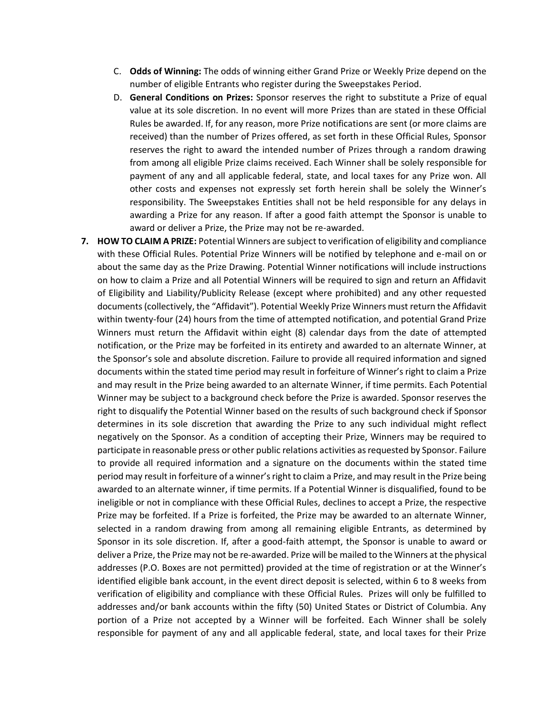- C. **Odds of Winning:** The odds of winning either Grand Prize or Weekly Prize depend on the number of eligible Entrants who register during the Sweepstakes Period.
- D. **General Conditions on Prizes:** Sponsor reserves the right to substitute a Prize of equal value at its sole discretion. In no event will more Prizes than are stated in these Official Rules be awarded. If, for any reason, more Prize notifications are sent (or more claims are received) than the number of Prizes offered, as set forth in these Official Rules, Sponsor reserves the right to award the intended number of Prizes through a random drawing from among all eligible Prize claims received. Each Winner shall be solely responsible for payment of any and all applicable federal, state, and local taxes for any Prize won. All other costs and expenses not expressly set forth herein shall be solely the Winner's responsibility. The Sweepstakes Entities shall not be held responsible for any delays in awarding a Prize for any reason. If after a good faith attempt the Sponsor is unable to award or deliver a Prize, the Prize may not be re-awarded.
- **7. HOW TO CLAIM A PRIZE:** Potential Winners are subject to verification of eligibility and compliance with these Official Rules. Potential Prize Winners will be notified by telephone and e-mail on or about the same day as the Prize Drawing. Potential Winner notifications will include instructions on how to claim a Prize and all Potential Winners will be required to sign and return an Affidavit of Eligibility and Liability/Publicity Release (except where prohibited) and any other requested documents (collectively, the "Affidavit"). Potential Weekly Prize Winners must return the Affidavit within twenty-four (24) hours from the time of attempted notification, and potential Grand Prize Winners must return the Affidavit within eight (8) calendar days from the date of attempted notification, or the Prize may be forfeited in its entirety and awarded to an alternate Winner, at the Sponsor's sole and absolute discretion. Failure to provide all required information and signed documents within the stated time period may result in forfeiture of Winner's right to claim a Prize and may result in the Prize being awarded to an alternate Winner, if time permits. Each Potential Winner may be subject to a background check before the Prize is awarded. Sponsor reserves the right to disqualify the Potential Winner based on the results of such background check if Sponsor determines in its sole discretion that awarding the Prize to any such individual might reflect negatively on the Sponsor. As a condition of accepting their Prize, Winners may be required to participate in reasonable press or other public relations activities as requested by Sponsor. Failure to provide all required information and a signature on the documents within the stated time period may result in forfeiture of a winner's right to claim a Prize, and may result in the Prize being awarded to an alternate winner, if time permits. If a Potential Winner is disqualified, found to be ineligible or not in compliance with these Official Rules, declines to accept a Prize, the respective Prize may be forfeited. If a Prize is forfeited, the Prize may be awarded to an alternate Winner, selected in a random drawing from among all remaining eligible Entrants, as determined by Sponsor in its sole discretion. If, after a good-faith attempt, the Sponsor is unable to award or deliver a Prize, the Prize may not be re-awarded. Prize will be mailed to the Winners at the physical addresses (P.O. Boxes are not permitted) provided at the time of registration or at the Winner's identified eligible bank account, in the event direct deposit is selected, within 6 to 8 weeks from verification of eligibility and compliance with these Official Rules. Prizes will only be fulfilled to addresses and/or bank accounts within the fifty (50) United States or District of Columbia. Any portion of a Prize not accepted by a Winner will be forfeited. Each Winner shall be solely responsible for payment of any and all applicable federal, state, and local taxes for their Prize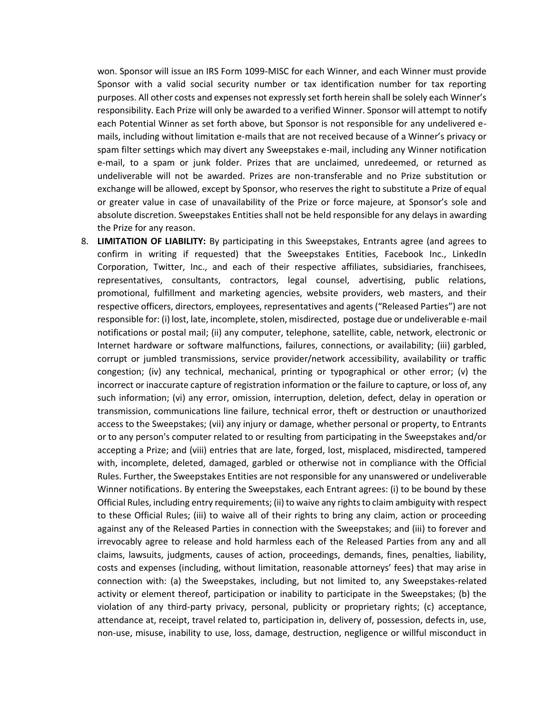won. Sponsor will issue an IRS Form 1099-MISC for each Winner, and each Winner must provide Sponsor with a valid social security number or tax identification number for tax reporting purposes. All other costs and expenses not expressly set forth herein shall be solely each Winner's responsibility. Each Prize will only be awarded to a verified Winner. Sponsor will attempt to notify each Potential Winner as set forth above, but Sponsor is not responsible for any undelivered emails, including without limitation e-mails that are not received because of a Winner's privacy or spam filter settings which may divert any Sweepstakes e-mail, including any Winner notification e-mail, to a spam or junk folder. Prizes that are unclaimed, unredeemed, or returned as undeliverable will not be awarded. Prizes are non-transferable and no Prize substitution or exchange will be allowed, except by Sponsor, who reserves the right to substitute a Prize of equal or greater value in case of unavailability of the Prize or force majeure, at Sponsor's sole and absolute discretion. Sweepstakes Entities shall not be held responsible for any delays in awarding the Prize for any reason.

8. **LIMITATION OF LIABILITY:** By participating in this Sweepstakes, Entrants agree (and agrees to confirm in writing if requested) that the Sweepstakes Entities, Facebook Inc., LinkedIn Corporation, Twitter, Inc., and each of their respective affiliates, subsidiaries, franchisees, representatives, consultants, contractors, legal counsel, advertising, public relations, promotional, fulfillment and marketing agencies, website providers, web masters, and their respective officers, directors, employees, representatives and agents ("Released Parties") are not responsible for: (i) lost, late, incomplete, stolen, misdirected, postage due or undeliverable e-mail notifications or postal mail; (ii) any computer, telephone, satellite, cable, network, electronic or Internet hardware or software malfunctions, failures, connections, or availability; (iii) garbled, corrupt or jumbled transmissions, service provider/network accessibility, availability or traffic congestion; (iv) any technical, mechanical, printing or typographical or other error; (v) the incorrect or inaccurate capture of registration information or the failure to capture, or loss of, any such information; (vi) any error, omission, interruption, deletion, defect, delay in operation or transmission, communications line failure, technical error, theft or destruction or unauthorized access to the Sweepstakes; (vii) any injury or damage, whether personal or property, to Entrants or to any person's computer related to or resulting from participating in the Sweepstakes and/or accepting a Prize; and (viii) entries that are late, forged, lost, misplaced, misdirected, tampered with, incomplete, deleted, damaged, garbled or otherwise not in compliance with the Official Rules. Further, the Sweepstakes Entities are not responsible for any unanswered or undeliverable Winner notifications. By entering the Sweepstakes, each Entrant agrees: (i) to be bound by these Official Rules, including entry requirements; (ii) to waive any rights to claim ambiguity with respect to these Official Rules; (iii) to waive all of their rights to bring any claim, action or proceeding against any of the Released Parties in connection with the Sweepstakes; and (iii) to forever and irrevocably agree to release and hold harmless each of the Released Parties from any and all claims, lawsuits, judgments, causes of action, proceedings, demands, fines, penalties, liability, costs and expenses (including, without limitation, reasonable attorneys' fees) that may arise in connection with: (a) the Sweepstakes, including, but not limited to, any Sweepstakes-related activity or element thereof, participation or inability to participate in the Sweepstakes; (b) the violation of any third-party privacy, personal, publicity or proprietary rights; (c) acceptance, attendance at, receipt, travel related to, participation in, delivery of, possession, defects in, use, non-use, misuse, inability to use, loss, damage, destruction, negligence or willful misconduct in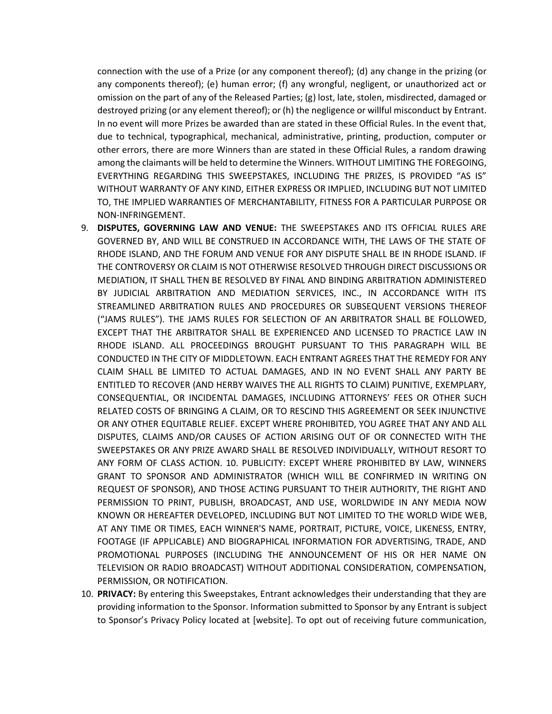connection with the use of a Prize (or any component thereof); (d) any change in the prizing (or any components thereof); (e) human error; (f) any wrongful, negligent, or unauthorized act or omission on the part of any of the Released Parties; (g) lost, late, stolen, misdirected, damaged or destroyed prizing (or any element thereof); or (h) the negligence or willful misconduct by Entrant. In no event will more Prizes be awarded than are stated in these Official Rules. In the event that, due to technical, typographical, mechanical, administrative, printing, production, computer or other errors, there are more Winners than are stated in these Official Rules, a random drawing among the claimants will be held to determine the Winners. WITHOUT LIMITING THE FOREGOING, EVERYTHING REGARDING THIS SWEEPSTAKES, INCLUDING THE PRIZES, IS PROVIDED "AS IS" WITHOUT WARRANTY OF ANY KIND, EITHER EXPRESS OR IMPLIED, INCLUDING BUT NOT LIMITED TO, THE IMPLIED WARRANTIES OF MERCHANTABILITY, FITNESS FOR A PARTICULAR PURPOSE OR NON-INFRINGEMENT.

- 9. **DISPUTES, GOVERNING LAW AND VENUE:** THE SWEEPSTAKES AND ITS OFFICIAL RULES ARE GOVERNED BY, AND WILL BE CONSTRUED IN ACCORDANCE WITH, THE LAWS OF THE STATE OF RHODE ISLAND, AND THE FORUM AND VENUE FOR ANY DISPUTE SHALL BE IN RHODE ISLAND. IF THE CONTROVERSY OR CLAIM IS NOT OTHERWISE RESOLVED THROUGH DIRECT DISCUSSIONS OR MEDIATION, IT SHALL THEN BE RESOLVED BY FINAL AND BINDING ARBITRATION ADMINISTERED BY JUDICIAL ARBITRATION AND MEDIATION SERVICES, INC., IN ACCORDANCE WITH ITS STREAMLINED ARBITRATION RULES AND PROCEDURES OR SUBSEQUENT VERSIONS THEREOF ("JAMS RULES"). THE JAMS RULES FOR SELECTION OF AN ARBITRATOR SHALL BE FOLLOWED, EXCEPT THAT THE ARBITRATOR SHALL BE EXPERIENCED AND LICENSED TO PRACTICE LAW IN RHODE ISLAND. ALL PROCEEDINGS BROUGHT PURSUANT TO THIS PARAGRAPH WILL BE CONDUCTED IN THE CITY OF MIDDLETOWN. EACH ENTRANT AGREES THAT THE REMEDY FOR ANY CLAIM SHALL BE LIMITED TO ACTUAL DAMAGES, AND IN NO EVENT SHALL ANY PARTY BE ENTITLED TO RECOVER (AND HERBY WAIVES THE ALL RIGHTS TO CLAIM) PUNITIVE, EXEMPLARY, CONSEQUENTIAL, OR INCIDENTAL DAMAGES, INCLUDING ATTORNEYS' FEES OR OTHER SUCH RELATED COSTS OF BRINGING A CLAIM, OR TO RESCIND THIS AGREEMENT OR SEEK INJUNCTIVE OR ANY OTHER EQUITABLE RELIEF. EXCEPT WHERE PROHIBITED, YOU AGREE THAT ANY AND ALL DISPUTES, CLAIMS AND/OR CAUSES OF ACTION ARISING OUT OF OR CONNECTED WITH THE SWEEPSTAKES OR ANY PRIZE AWARD SHALL BE RESOLVED INDIVIDUALLY, WITHOUT RESORT TO ANY FORM OF CLASS ACTION. 10. PUBLICITY: EXCEPT WHERE PROHIBITED BY LAW, WINNERS GRANT TO SPONSOR AND ADMINISTRATOR (WHICH WILL BE CONFIRMED IN WRITING ON REQUEST OF SPONSOR), AND THOSE ACTING PURSUANT TO THEIR AUTHORITY, THE RIGHT AND PERMISSION TO PRINT, PUBLISH, BROADCAST, AND USE, WORLDWIDE IN ANY MEDIA NOW KNOWN OR HEREAFTER DEVELOPED, INCLUDING BUT NOT LIMITED TO THE WORLD WIDE WEB, AT ANY TIME OR TIMES, EACH WINNER'S NAME, PORTRAIT, PICTURE, VOICE, LIKENESS, ENTRY, FOOTAGE (IF APPLICABLE) AND BIOGRAPHICAL INFORMATION FOR ADVERTISING, TRADE, AND PROMOTIONAL PURPOSES (INCLUDING THE ANNOUNCEMENT OF HIS OR HER NAME ON TELEVISION OR RADIO BROADCAST) WITHOUT ADDITIONAL CONSIDERATION, COMPENSATION, PERMISSION, OR NOTIFICATION.
- 10. **PRIVACY:** By entering this Sweepstakes, Entrant acknowledges their understanding that they are providing information to the Sponsor. Information submitted to Sponsor by any Entrant is subject to Sponsor's Privacy Policy located at [website]. To opt out of receiving future communication,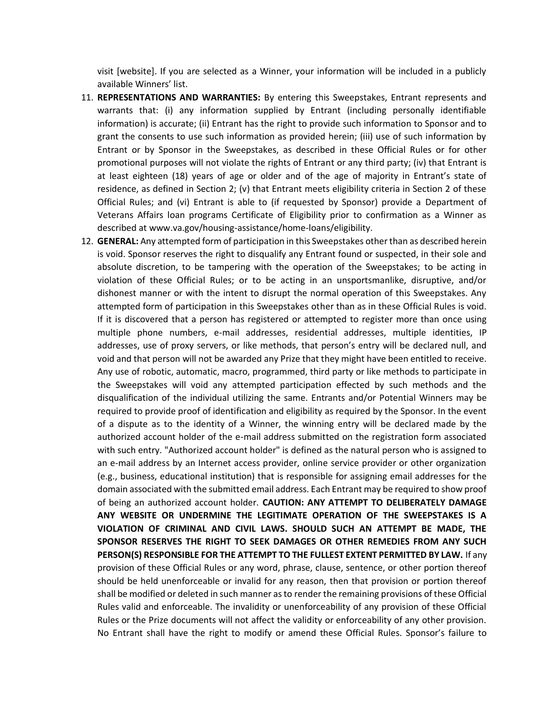visit [website]. If you are selected as a Winner, your information will be included in a publicly available Winners' list.

- 11. **REPRESENTATIONS AND WARRANTIES:** By entering this Sweepstakes, Entrant represents and warrants that: (i) any information supplied by Entrant (including personally identifiable information) is accurate; (ii) Entrant has the right to provide such information to Sponsor and to grant the consents to use such information as provided herein; (iii) use of such information by Entrant or by Sponsor in the Sweepstakes, as described in these Official Rules or for other promotional purposes will not violate the rights of Entrant or any third party; (iv) that Entrant is at least eighteen (18) years of age or older and of the age of majority in Entrant's state of residence, as defined in Section 2; (v) that Entrant meets eligibility criteria in Section 2 of these Official Rules; and (vi) Entrant is able to (if requested by Sponsor) provide a Department of Veterans Affairs loan programs Certificate of Eligibility prior to confirmation as a Winner as described at www.va.gov/housing-assistance/home-loans/eligibility.
- 12. **GENERAL:** Any attempted form of participation in this Sweepstakes other than as described herein is void. Sponsor reserves the right to disqualify any Entrant found or suspected, in their sole and absolute discretion, to be tampering with the operation of the Sweepstakes; to be acting in violation of these Official Rules; or to be acting in an unsportsmanlike, disruptive, and/or dishonest manner or with the intent to disrupt the normal operation of this Sweepstakes. Any attempted form of participation in this Sweepstakes other than as in these Official Rules is void. If it is discovered that a person has registered or attempted to register more than once using multiple phone numbers, e-mail addresses, residential addresses, multiple identities, IP addresses, use of proxy servers, or like methods, that person's entry will be declared null, and void and that person will not be awarded any Prize that they might have been entitled to receive. Any use of robotic, automatic, macro, programmed, third party or like methods to participate in the Sweepstakes will void any attempted participation effected by such methods and the disqualification of the individual utilizing the same. Entrants and/or Potential Winners may be required to provide proof of identification and eligibility as required by the Sponsor. In the event of a dispute as to the identity of a Winner, the winning entry will be declared made by the authorized account holder of the e-mail address submitted on the registration form associated with such entry. "Authorized account holder" is defined as the natural person who is assigned to an e-mail address by an Internet access provider, online service provider or other organization (e.g., business, educational institution) that is responsible for assigning email addresses for the domain associated with the submitted email address. Each Entrant may be required to show proof of being an authorized account holder. **CAUTION: ANY ATTEMPT TO DELIBERATELY DAMAGE ANY WEBSITE OR UNDERMINE THE LEGITIMATE OPERATION OF THE SWEEPSTAKES IS A VIOLATION OF CRIMINAL AND CIVIL LAWS. SHOULD SUCH AN ATTEMPT BE MADE, THE SPONSOR RESERVES THE RIGHT TO SEEK DAMAGES OR OTHER REMEDIES FROM ANY SUCH PERSON(S) RESPONSIBLE FOR THE ATTEMPT TO THE FULLEST EXTENT PERMITTED BY LAW.** If any provision of these Official Rules or any word, phrase, clause, sentence, or other portion thereof should be held unenforceable or invalid for any reason, then that provision or portion thereof shall be modified or deleted in such manner as to render the remaining provisions of these Official Rules valid and enforceable. The invalidity or unenforceability of any provision of these Official Rules or the Prize documents will not affect the validity or enforceability of any other provision. No Entrant shall have the right to modify or amend these Official Rules. Sponsor's failure to